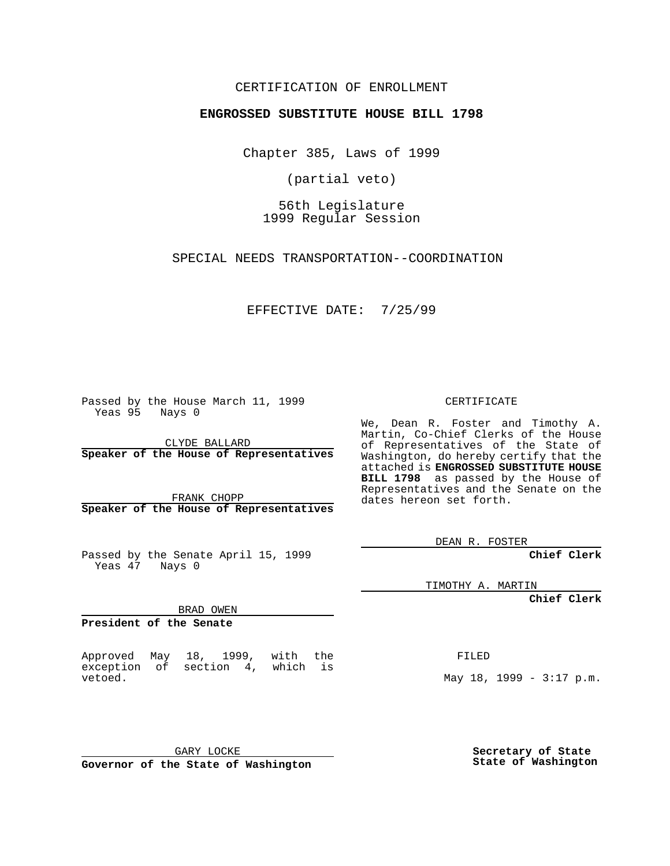## CERTIFICATION OF ENROLLMENT

## **ENGROSSED SUBSTITUTE HOUSE BILL 1798**

Chapter 385, Laws of 1999

(partial veto)

56th Legislature 1999 Regular Session

SPECIAL NEEDS TRANSPORTATION--COORDINATION

EFFECTIVE DATE: 7/25/99

Passed by the House March 11, 1999 Yeas 95 Nays 0

CLYDE BALLARD **Speaker of the House of Representatives**

FRANK CHOPP **Speaker of the House of Representatives**

Passed by the Senate April 15, 1999 Yeas 47 Nays 0

TIMOTHY A. MARTIN

**Chief Clerk**

BRAD OWEN

**President of the Senate**

Approved May 18, 1999, with the exception of section 4, which is vetoed.

FILED

May 18, 1999 - 3:17 p.m.

GARY LOCKE **Governor of the State of Washington**

**Secretary of State State of Washington**

CERTIFICATE

We, Dean R. Foster and Timothy A. Martin, Co-Chief Clerks of the House of Representatives of the State of Washington, do hereby certify that the attached is **ENGROSSED SUBSTITUTE HOUSE BILL 1798** as passed by the House of Representatives and the Senate on the dates hereon set forth.

DEAN R. FOSTER

**Chief Clerk**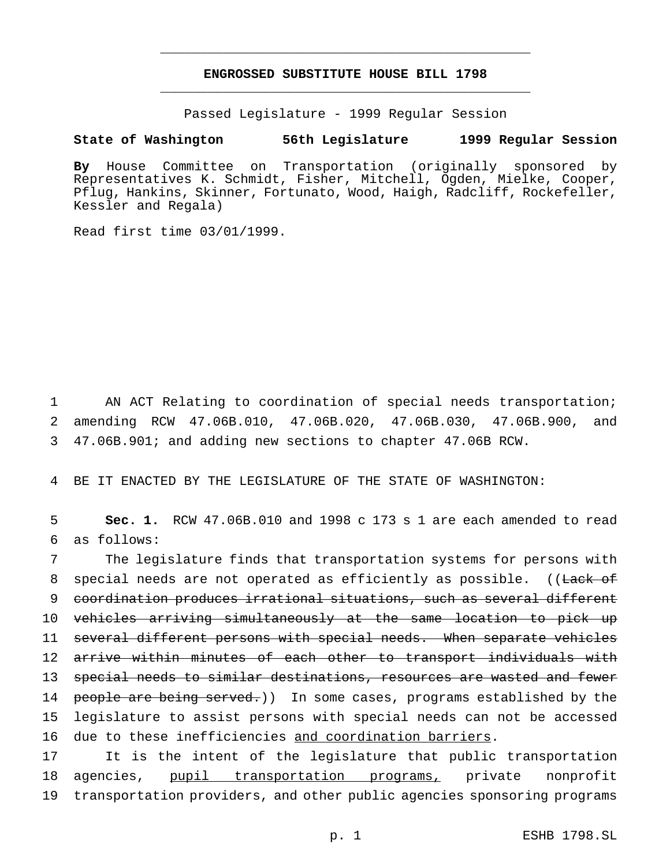## **ENGROSSED SUBSTITUTE HOUSE BILL 1798** \_\_\_\_\_\_\_\_\_\_\_\_\_\_\_\_\_\_\_\_\_\_\_\_\_\_\_\_\_\_\_\_\_\_\_\_\_\_\_\_\_\_\_\_\_\_\_

\_\_\_\_\_\_\_\_\_\_\_\_\_\_\_\_\_\_\_\_\_\_\_\_\_\_\_\_\_\_\_\_\_\_\_\_\_\_\_\_\_\_\_\_\_\_\_

Passed Legislature - 1999 Regular Session

## **State of Washington 56th Legislature 1999 Regular Session**

**By** House Committee on Transportation (originally sponsored by Representatives K. Schmidt, Fisher, Mitchell, Ogden, Mielke, Cooper, Pflug, Hankins, Skinner, Fortunato, Wood, Haigh, Radcliff, Rockefeller, Kessler and Regala)

Read first time 03/01/1999.

1 AN ACT Relating to coordination of special needs transportation; 2 amending RCW 47.06B.010, 47.06B.020, 47.06B.030, 47.06B.900, and 3 47.06B.901; and adding new sections to chapter 47.06B RCW.

4 BE IT ENACTED BY THE LEGISLATURE OF THE STATE OF WASHINGTON:

5 **Sec. 1.** RCW 47.06B.010 and 1998 c 173 s 1 are each amended to read 6 as follows:

 The legislature finds that transportation systems for persons with 8 special needs are not operated as efficiently as possible. ((Lack of coordination produces irrational situations, such as several different vehicles arriving simultaneously at the same location to pick up several different persons with special needs. When separate vehicles 12 arrive within minutes of each other to transport individuals with special needs to similar destinations, resources are wasted and fewer 14 people are being served.)) In some cases, programs established by the legislature to assist persons with special needs can not be accessed due to these inefficiencies and coordination barriers.

17 It is the intent of the legislature that public transportation 18 agencies, pupil transportation programs, private nonprofit 19 transportation providers, and other public agencies sponsoring programs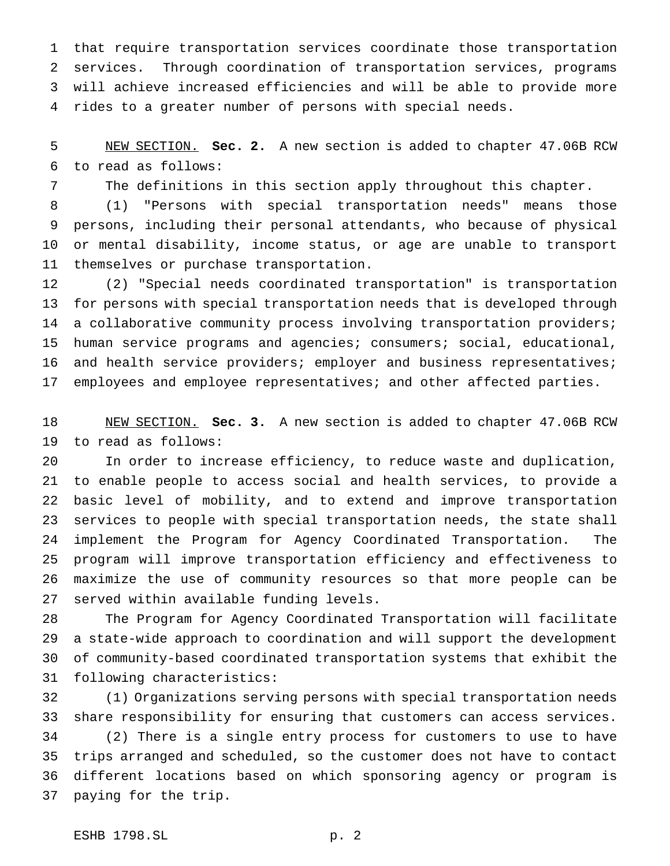that require transportation services coordinate those transportation services. Through coordination of transportation services, programs will achieve increased efficiencies and will be able to provide more rides to a greater number of persons with special needs.

 NEW SECTION. **Sec. 2.** A new section is added to chapter 47.06B RCW to read as follows:

The definitions in this section apply throughout this chapter.

 (1) "Persons with special transportation needs" means those persons, including their personal attendants, who because of physical or mental disability, income status, or age are unable to transport themselves or purchase transportation.

 (2) "Special needs coordinated transportation" is transportation for persons with special transportation needs that is developed through a collaborative community process involving transportation providers; human service programs and agencies; consumers; social, educational, 16 and health service providers; employer and business representatives; employees and employee representatives; and other affected parties.

 NEW SECTION. **Sec. 3.** A new section is added to chapter 47.06B RCW to read as follows:

 In order to increase efficiency, to reduce waste and duplication, to enable people to access social and health services, to provide a basic level of mobility, and to extend and improve transportation services to people with special transportation needs, the state shall implement the Program for Agency Coordinated Transportation. The program will improve transportation efficiency and effectiveness to maximize the use of community resources so that more people can be served within available funding levels.

 The Program for Agency Coordinated Transportation will facilitate a state-wide approach to coordination and will support the development of community-based coordinated transportation systems that exhibit the following characteristics:

 (1) Organizations serving persons with special transportation needs share responsibility for ensuring that customers can access services. (2) There is a single entry process for customers to use to have trips arranged and scheduled, so the customer does not have to contact different locations based on which sponsoring agency or program is paying for the trip.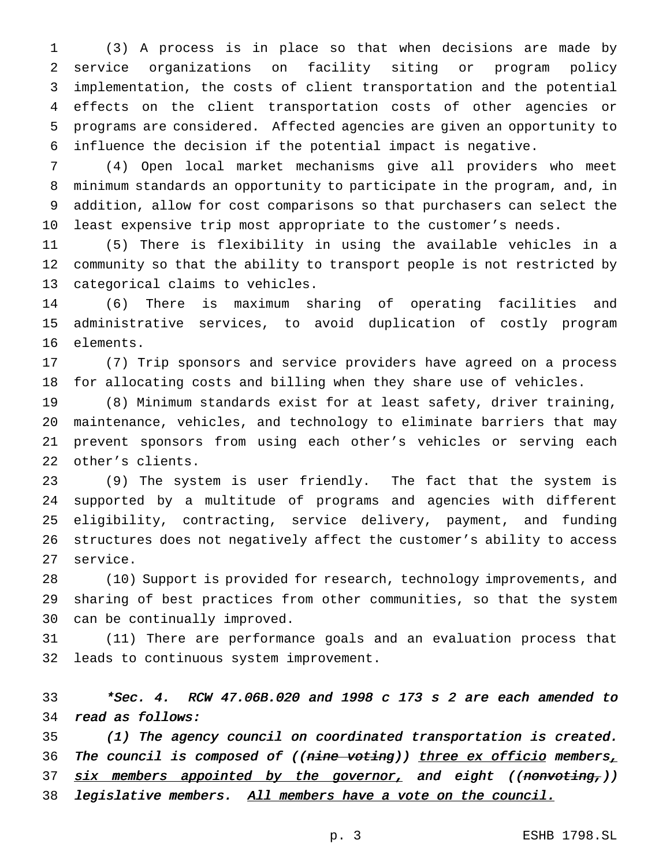(3) A process is in place so that when decisions are made by service organizations on facility siting or program policy implementation, the costs of client transportation and the potential effects on the client transportation costs of other agencies or programs are considered. Affected agencies are given an opportunity to influence the decision if the potential impact is negative.

 (4) Open local market mechanisms give all providers who meet minimum standards an opportunity to participate in the program, and, in addition, allow for cost comparisons so that purchasers can select the least expensive trip most appropriate to the customer's needs.

 (5) There is flexibility in using the available vehicles in a community so that the ability to transport people is not restricted by categorical claims to vehicles.

 (6) There is maximum sharing of operating facilities and administrative services, to avoid duplication of costly program elements.

 (7) Trip sponsors and service providers have agreed on a process for allocating costs and billing when they share use of vehicles.

 (8) Minimum standards exist for at least safety, driver training, maintenance, vehicles, and technology to eliminate barriers that may prevent sponsors from using each other's vehicles or serving each other's clients.

 (9) The system is user friendly. The fact that the system is supported by a multitude of programs and agencies with different eligibility, contracting, service delivery, payment, and funding structures does not negatively affect the customer's ability to access service.

 (10) Support is provided for research, technology improvements, and sharing of best practices from other communities, so that the system can be continually improved.

 (11) There are performance goals and an evaluation process that leads to continuous system improvement.

 \*Sec. 4. RCW 47.06B.020 and <sup>1998</sup> <sup>c</sup> <sup>173</sup> <sup>s</sup> <sup>2</sup> are each amended to read as follows:

 (1) The agency council on coordinated transportation is created. 36 The council is composed of ((nine voting)) three ex officio members, 37 six members appointed by the governor, and eight ((nonvoting,)) 38 legislative members. All members have a vote on the council.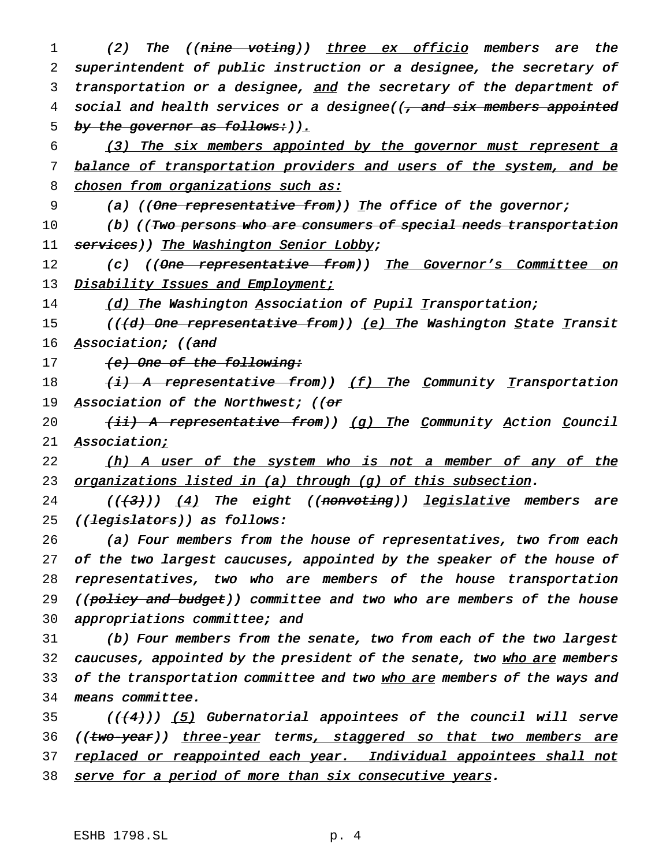1 (2) The ((nine voting)) three ex officio members are the 2 superintendent of public instruction or <sup>a</sup> designee, the secretary of 3 transportation or a designee, and the secretary of the department of 4 social and health services or a designee((, and six members appointed 5 by the governor as follows:  $),$ 

6 (3) The six members appointed by the governor must represent <sup>a</sup> 7 balance of transportation providers and users of the system, and be 8 chosen from organizations such as:

9 (a) (( $\Theta$ <del>ne representative from</del>)) The office of the governor;

10 (b) ((<del>Two persons who are consumers of special needs transportation</del> 11 services)) The Washington Senior Lobby;

12 (c) ((One representative from)) The Governor's Committee on 13 Disability Issues and Employment;

14 (d) The Washington Association of Pupil Transportation;

15 (((d) One representative from)) (e) The Washington State Transit 16 Association; ((and

17 (e) One of the following:

18 (i) A representative from)) <u>(f) T</u>he Community Transportation 19 Association of the Northwest; (( $or$ 

20  $(iii)$  A representative from)) (g) The Community Action Council 21 Association;

22 (h) A user of the system who is not a member of any of the 23 organizations listed in (a) through (g) of this subsection.

24  $((+3))$   $(4)$  The eight  $($ (nonvoting)) legislative members are 25 ((<del>legislators</del>)) as follows:

26 (a) Four members from the house of representatives, two from each 27 of the two largest caucuses, appointed by the speaker of the house of 28 representatives, two who are members of the house transportation 29 ((policy and budget)) committee and two who are members of the house 30 appropriations committee; and

31 (b) Four members from the senate, two from each of the two largest 32 caucuses, appointed by the president of the senate, two who are members 33 of the transportation committee and two who are members of the ways and 34 means committee.

 $(1+4)$ ) (5) Gubernatorial appointees of the council will serve 36 ((two-year)) three-year terms, staggered so that two members are 37 replaced or reappointed each year. Individual appointees shall not 38 serve for a period of more than six consecutive years.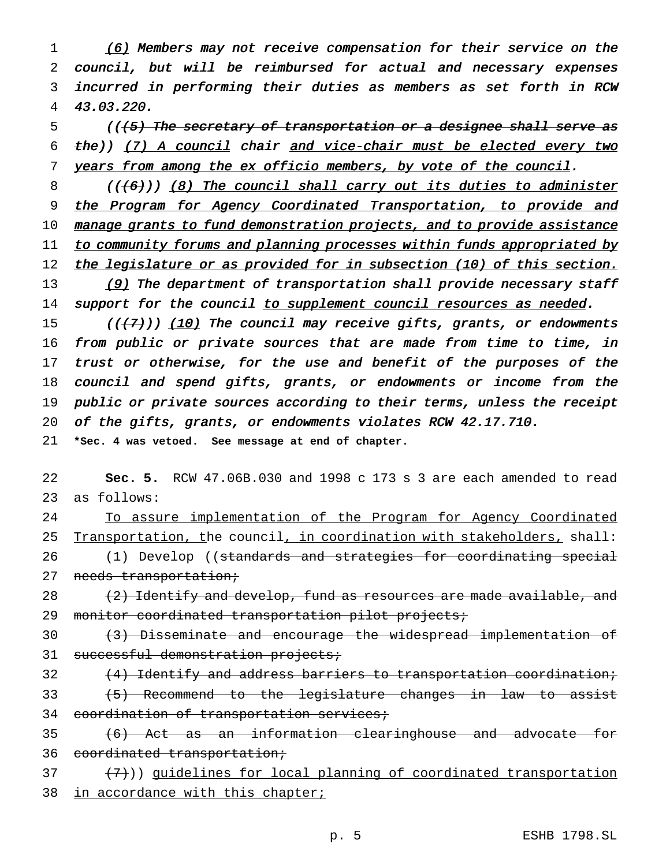1 (6) Members may not receive compensation for their service on the council, but will be reimbursed for actual and necessary expenses incurred in performing their duties as members as set forth in RCW 43.03.220.

 $5$  (( $(5)$ ) The secretary of transportation or a designee shall serve as 6  $the$ )) (7) A council chair and vice-chair must be elected every two 7 years from among the ex officio members, by vote of the council.

8 (((6)) (8) The council shall carry out its duties to administer 9 the Program for Agency Coordinated Transportation, to provide and 10 manage grants to fund demonstration projects, and to provide assistance 11 to community forums and planning processes within funds appropriated by 12 the legislature or as provided for in subsection (10) of this section. 13 (9) The department of transportation shall provide necessary staff 14 support for the council to supplement council resources as needed.

15 ( $(\overline{\{7\}})$ ) (10) The council may receive gifts, grants, or endowments from public or private sources that are made from time to time, in 17 trust or otherwise, for the use and benefit of the purposes of the council and spend gifts, grants, or endowments or income from the public or private sources according to their terms, unless the receipt of the gifts, grants, or endowments violates RCW 42.17.710.

21 **\*Sec. 4 was vetoed. See message at end of chapter.**

22 **Sec. 5.** RCW 47.06B.030 and 1998 c 173 s 3 are each amended to read 23 as follows:

24 To assure implementation of the Program for Agency Coordinated 25 Transportation, the council, in coordination with stakeholders, shall: 26 (1) Develop ((standards and strategies for coordinating special 27 needs transportation;

28  $(2)$  Identify and develop, fund as resources are made available, and 29 monitor coordinated transportation pilot projects;

30 (3) Disseminate and encourage the widespread implementation of 31 successful demonstration projects;

 $32$  (4) Identify and address barriers to transportation coordination; 33 (5) Recommend to the legislature changes in law to assist 34 coordination of transportation services;

35 (6) Act as an information clearinghouse and advocate for 36 coordinated transportation;

 $(7)$ )) quidelines for local planning of coordinated transportation 38 in accordance with this chapter;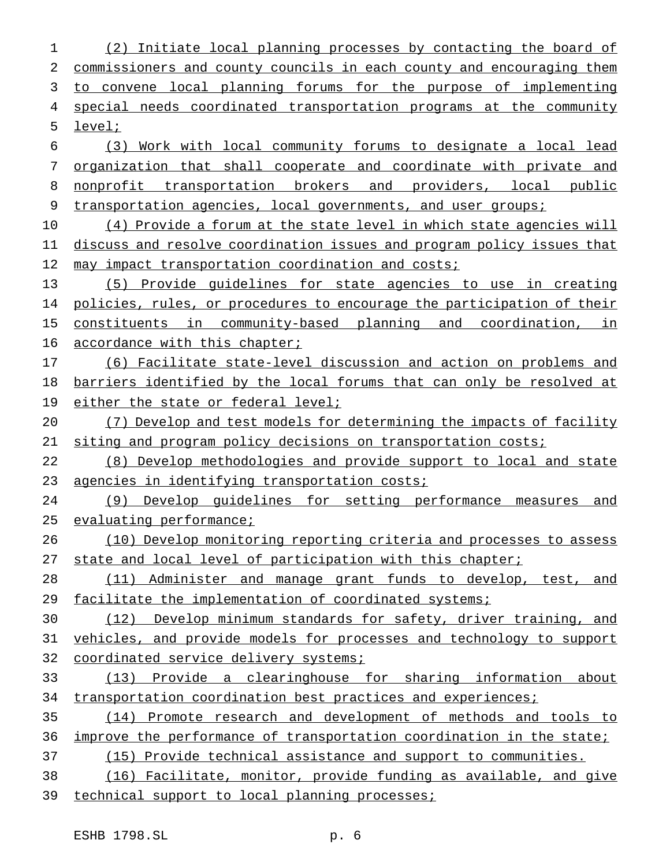(2) Initiate local planning processes by contacting the board of commissioners and county councils in each county and encouraging them to convene local planning forums for the purpose of implementing 4 special needs coordinated transportation programs at the community level; (3) Work with local community forums to designate a local lead organization that shall cooperate and coordinate with private and 8 nonprofit transportation brokers and providers, local public 9 transportation agencies, local governments, and user groups; (4) Provide a forum at the state level in which state agencies will discuss and resolve coordination issues and program policy issues that 12 may impact transportation coordination and costs; (5) Provide guidelines for state agencies to use in creating policies, rules, or procedures to encourage the participation of their constituents in community-based planning and coordination, in 16 accordance with this chapter; (6) Facilitate state-level discussion and action on problems and 18 barriers identified by the local forums that can only be resolved at 19 either the state or federal level; (7) Develop and test models for determining the impacts of facility siting and program policy decisions on transportation costs; (8) Develop methodologies and provide support to local and state 23 agencies in identifying transportation costs; (9) Develop guidelines for setting performance measures and 25 evaluating performance; (10) Develop monitoring reporting criteria and processes to assess 27 state and local level of participation with this chapter; (11) Administer and manage grant funds to develop, test, and 29 facilitate the implementation of coordinated systems; (12) Develop minimum standards for safety, driver training, and vehicles, and provide models for processes and technology to support 32 coordinated service delivery systems; (13) Provide a clearinghouse for sharing information about 34 transportation coordination best practices and experiences; (14) Promote research and development of methods and tools to improve the performance of transportation coordination in the state; (15) Provide technical assistance and support to communities. (16) Facilitate, monitor, provide funding as available, and give 39 technical support to local planning processes;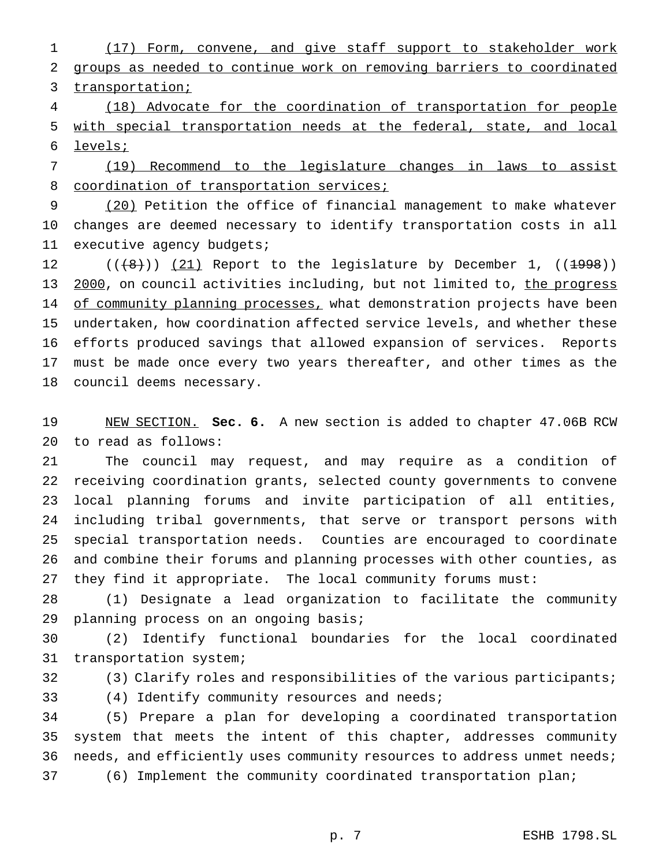(17) Form, convene, and give staff support to stakeholder work groups as needed to continue work on removing barriers to coordinated 3 transportation;

 (18) Advocate for the coordination of transportation for people with special transportation needs at the federal, state, and local levels;

 (19) Recommend to the legislature changes in laws to assist 8 coordination of transportation services;

 (20) Petition the office of financial management to make whatever changes are deemed necessary to identify transportation costs in all executive agency budgets;

 $((+8))$   $(21)$  Report to the legislature by December 1,  $((1998))$ 13 2000, on council activities including, but not limited to, the progress 14 of community planning processes, what demonstration projects have been undertaken, how coordination affected service levels, and whether these efforts produced savings that allowed expansion of services. Reports must be made once every two years thereafter, and other times as the council deems necessary.

 NEW SECTION. **Sec. 6.** A new section is added to chapter 47.06B RCW to read as follows:

 The council may request, and may require as a condition of receiving coordination grants, selected county governments to convene local planning forums and invite participation of all entities, including tribal governments, that serve or transport persons with special transportation needs. Counties are encouraged to coordinate and combine their forums and planning processes with other counties, as they find it appropriate. The local community forums must:

 (1) Designate a lead organization to facilitate the community planning process on an ongoing basis;

 (2) Identify functional boundaries for the local coordinated transportation system;

 (3) Clarify roles and responsibilities of the various participants; (4) Identify community resources and needs;

 (5) Prepare a plan for developing a coordinated transportation system that meets the intent of this chapter, addresses community 36 needs, and efficiently uses community resources to address unmet needs; (6) Implement the community coordinated transportation plan;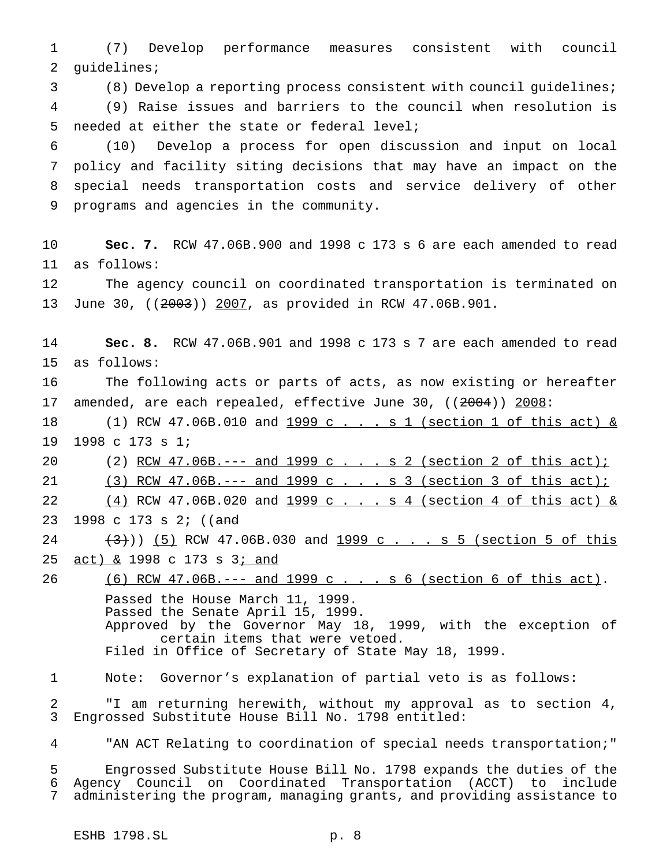(7) Develop performance measures consistent with council guidelines;

(8) Develop a reporting process consistent with council guidelines;

 (9) Raise issues and barriers to the council when resolution is needed at either the state or federal level;

 (10) Develop a process for open discussion and input on local policy and facility siting decisions that may have an impact on the special needs transportation costs and service delivery of other programs and agencies in the community.

 **Sec. 7.** RCW 47.06B.900 and 1998 c 173 s 6 are each amended to read as follows:

 The agency council on coordinated transportation is terminated on June 30, ((2003)) 2007, as provided in RCW 47.06B.901.

 **Sec. 8.** RCW 47.06B.901 and 1998 c 173 s 7 are each amended to read as follows:

 The following acts or parts of acts, as now existing or hereafter 17 amended, are each repealed, effective June 30, ((2004)) 2008:

18 (1) RCW 47.06B.010 and 1999 c . . . s 1 (section 1 of this act) & 1998 c 173 s 1;

20 (2) RCW 47.06B.--- and 1999 c . . . s 2 (section 2 of this act);

21 (3) RCW 47.06B.--- and 1999 c . . . s 3 (section 3 of this act);

22 (4) RCW 47.06B.020 and 1999 c . . . s 4 (section 4 of this act) &

23 1998 c 173 s 2; ((and

24 (3)) (5) RCW 47.06B.030 and 1999 c . . . s 5 (section 5 of this 25 act) & 1998 c 173 s 3; and

26 (6) RCW 47.06B.--- and 1999 c... s 6 (section 6 of this act). Passed the House March 11, 1999. Passed the Senate April 15, 1999. Approved by the Governor May 18, 1999, with the exception of certain items that were vetoed. Filed in Office of Secretary of State May 18, 1999.

Note: Governor's explanation of partial veto is as follows:

 "I am returning herewith, without my approval as to section 4, Engrossed Substitute House Bill No. 1798 entitled:

"AN ACT Relating to coordination of special needs transportation;"

 Engrossed Substitute House Bill No. 1798 expands the duties of the Agency Council on Coordinated Transportation (ACCT) to include administering the program, managing grants, and providing assistance to